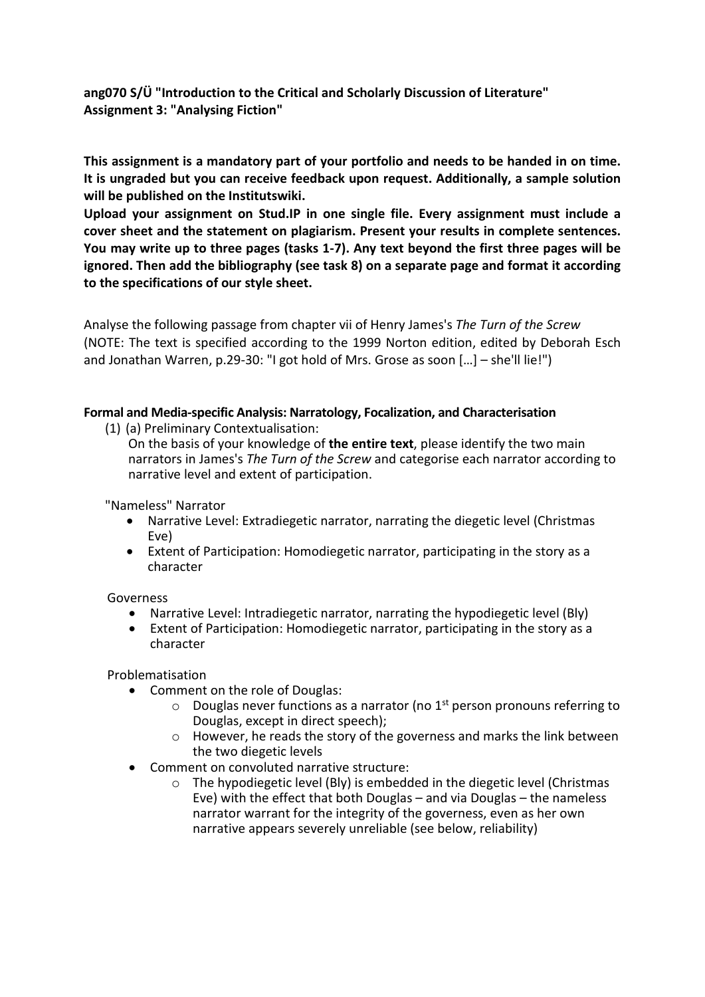**ang070 S/Ü "Introduction to the Critical and Scholarly Discussion of Literature" Assignment 3: "Analysing Fiction"** 

**This assignment is a mandatory part of your portfolio and needs to be handed in on time. It is ungraded but you can receive feedback upon request. Additionally, a sample solution will be published on the Institutswiki.** 

**Upload your assignment on Stud.IP in one single file. Every assignment must include a cover sheet and the statement on plagiarism. Present your results in complete sentences. You may write up to three pages (tasks 1-7). Any text beyond the first three pages will be ignored. Then add the bibliography (see task 8) on a separate page and format it according to the specifications of our style sheet.**

Analyse the following passage from chapter vii of Henry James's *The Turn of the Screw* (NOTE: The text is specified according to the 1999 Norton edition, edited by Deborah Esch and Jonathan Warren, p.29-30: "I got hold of Mrs. Grose as soon […] – she'll lie!")

## **Formal and Media-specific Analysis: Narratology, Focalization, and Characterisation**

(1) (a) Preliminary Contextualisation:

On the basis of your knowledge of **the entire text**, please identify the two main narrators in James's *The Turn of the Screw* and categorise each narrator according to narrative level and extent of participation.

"Nameless" Narrator

- Narrative Level: Extradiegetic narrator, narrating the diegetic level (Christmas Eve)
- Extent of Participation: Homodiegetic narrator, participating in the story as a character

Governess

- Narrative Level: Intradiegetic narrator, narrating the hypodiegetic level (Bly)
- Extent of Participation: Homodiegetic narrator, participating in the story as a character

Problematisation

- Comment on the role of Douglas:
	- $\circ$  Douglas never functions as a narrator (no 1<sup>st</sup> person pronouns referring to Douglas, except in direct speech);
	- o However, he reads the story of the governess and marks the link between the two diegetic levels
- Comment on convoluted narrative structure:
	- o The hypodiegetic level (Bly) is embedded in the diegetic level (Christmas Eve) with the effect that both Douglas – and via Douglas – the nameless narrator warrant for the integrity of the governess, even as her own narrative appears severely unreliable (see below, reliability)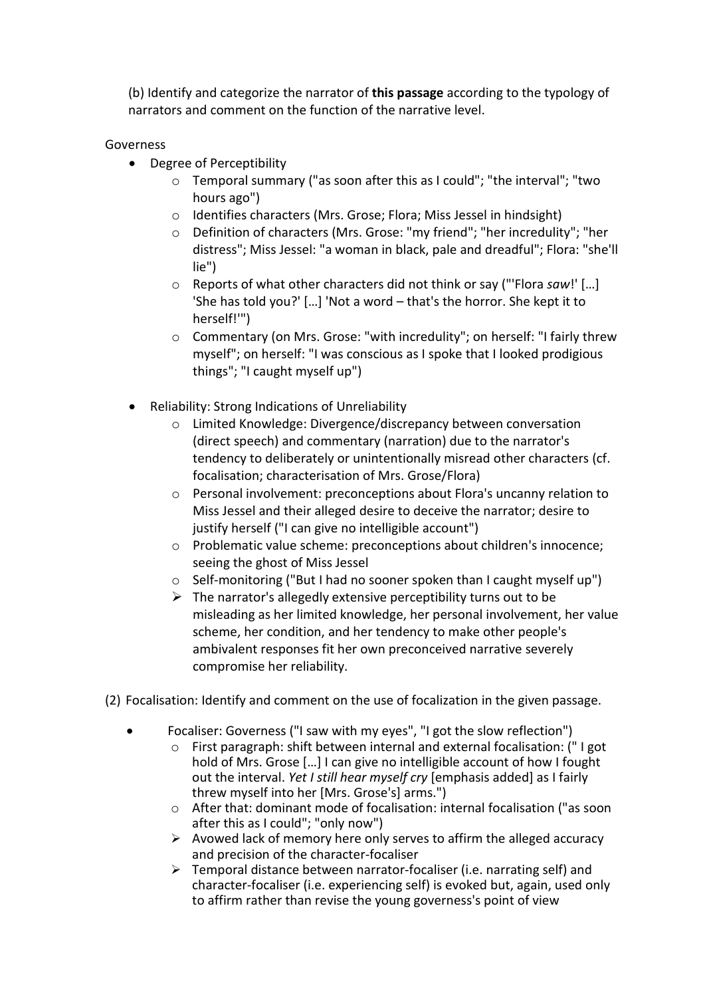(b) Identify and categorize the narrator of **this passage** according to the typology of narrators and comment on the function of the narrative level.

## Governess

- Degree of Perceptibility
	- o Temporal summary ("as soon after this as I could"; "the interval"; "two hours ago")
	- o Identifies characters (Mrs. Grose; Flora; Miss Jessel in hindsight)
	- o Definition of characters (Mrs. Grose: "my friend"; "her incredulity"; "her distress"; Miss Jessel: "a woman in black, pale and dreadful"; Flora: "she'll lie")
	- o Reports of what other characters did not think or say ("'Flora *saw*!' […] 'She has told you?' […] 'Not a word – that's the horror. She kept it to herself!'")
	- o Commentary (on Mrs. Grose: "with incredulity"; on herself: "I fairly threw myself"; on herself: "I was conscious as I spoke that I looked prodigious things"; "I caught myself up")
- Reliability: Strong Indications of Unreliability
	- o Limited Knowledge: Divergence/discrepancy between conversation (direct speech) and commentary (narration) due to the narrator's tendency to deliberately or unintentionally misread other characters (cf. focalisation; characterisation of Mrs. Grose/Flora)
	- o Personal involvement: preconceptions about Flora's uncanny relation to Miss Jessel and their alleged desire to deceive the narrator; desire to justify herself ("I can give no intelligible account")
	- o Problematic value scheme: preconceptions about children's innocence; seeing the ghost of Miss Jessel
	- $\circ$  Self-monitoring ("But I had no sooner spoken than I caught myself up")
	- $\triangleright$  The narrator's allegedly extensive perceptibility turns out to be misleading as her limited knowledge, her personal involvement, her value scheme, her condition, and her tendency to make other people's ambivalent responses fit her own preconceived narrative severely compromise her reliability.
- (2) Focalisation: Identify and comment on the use of focalization in the given passage.
	- Focaliser: Governess ("I saw with my eyes", "I got the slow reflection")
		- o First paragraph: shift between internal and external focalisation: (" I got hold of Mrs. Grose […] I can give no intelligible account of how I fought out the interval. *Yet I still hear myself cry* [emphasis added] as I fairly threw myself into her [Mrs. Grose's] arms.")
		- o After that: dominant mode of focalisation: internal focalisation ("as soon after this as I could"; "only now")
		- $\triangleright$  Avowed lack of memory here only serves to affirm the alleged accuracy and precision of the character-focaliser
		- $\triangleright$  Temporal distance between narrator-focaliser (i.e. narrating self) and character-focaliser (i.e. experiencing self) is evoked but, again, used only to affirm rather than revise the young governess's point of view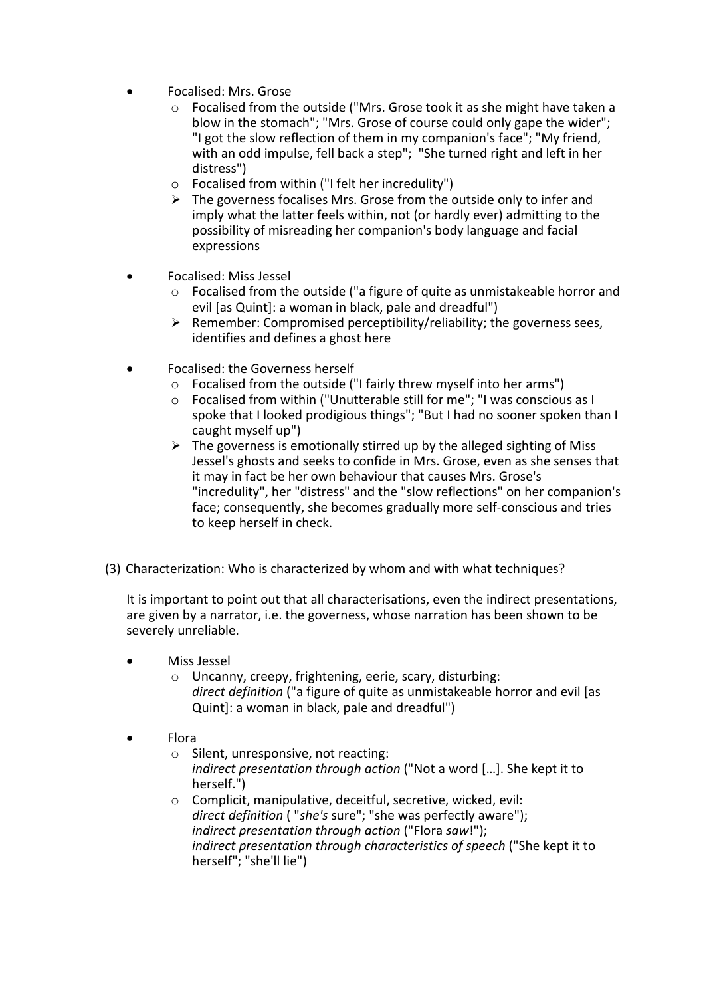- Focalised: Mrs. Grose
	- o Focalised from the outside ("Mrs. Grose took it as she might have taken a blow in the stomach"; "Mrs. Grose of course could only gape the wider"; "I got the slow reflection of them in my companion's face"; "My friend, with an odd impulse, fell back a step"; "She turned right and left in her distress")
	- o Focalised from within ("I felt her incredulity")
	- $\triangleright$  The governess focalises Mrs. Grose from the outside only to infer and imply what the latter feels within, not (or hardly ever) admitting to the possibility of misreading her companion's body language and facial expressions
- Focalised: Miss Jessel
	- o Focalised from the outside ("a figure of quite as unmistakeable horror and evil [as Quint]: a woman in black, pale and dreadful")
	- $\triangleright$  Remember: Compromised perceptibility/reliability; the governess sees, identifies and defines a ghost here
- Focalised: the Governess herself
	- o Focalised from the outside ("I fairly threw myself into her arms")
	- o Focalised from within ("Unutterable still for me"; "I was conscious as I spoke that I looked prodigious things"; "But I had no sooner spoken than I caught myself up")
	- $\triangleright$  The governess is emotionally stirred up by the alleged sighting of Miss Jessel's ghosts and seeks to confide in Mrs. Grose, even as she senses that it may in fact be her own behaviour that causes Mrs. Grose's "incredulity", her "distress" and the "slow reflections" on her companion's face; consequently, she becomes gradually more self-conscious and tries to keep herself in check.
- (3) Characterization: Who is characterized by whom and with what techniques?

It is important to point out that all characterisations, even the indirect presentations, are given by a narrator, i.e. the governess, whose narration has been shown to be severely unreliable.

- Miss Jessel
	- o Uncanny, creepy, frightening, eerie, scary, disturbing: *direct definition* ("a figure of quite as unmistakeable horror and evil [as Quint]: a woman in black, pale and dreadful")
- Flora
	- o Silent, unresponsive, not reacting: *indirect presentation through action* ("Not a word […]. She kept it to herself.")
	- o Complicit, manipulative, deceitful, secretive, wicked, evil: *direct definition* ( "*she's* sure"; "she was perfectly aware"); *indirect presentation through action* ("Flora *saw*!"); *indirect presentation through characteristics of speech* ("She kept it to herself"; "she'll lie")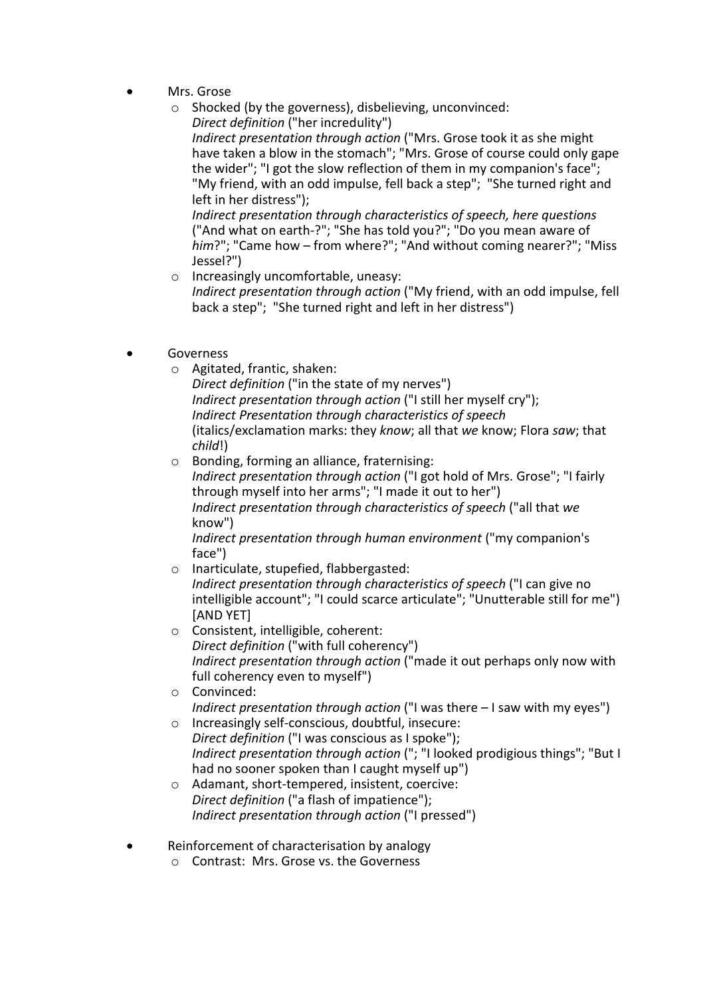- Mrs. Grose
	- o Shocked (by the governess), disbelieving, unconvinced: *Direct definition* ("her incredulity")

*Indirect presentation through action* ("Mrs. Grose took it as she might have taken a blow in the stomach"; "Mrs. Grose of course could only gape the wider"; "I got the slow reflection of them in my companion's face"; "My friend, with an odd impulse, fell back a step"; "She turned right and left in her distress");

*Indirect presentation through characteristics of speech, here questions* ("And what on earth-?"; "She has told you?"; "Do you mean aware of *him*?"; "Came how – from where?"; "And without coming nearer?"; "Miss Jessel?")

- o Increasingly uncomfortable, uneasy: *Indirect presentation through action* ("My friend, with an odd impulse, fell back a step"; "She turned right and left in her distress")
- Governess
	- o Agitated, frantic, shaken:

*Direct definition* ("in the state of my nerves") *Indirect presentation through action* ("I still her myself cry"); *Indirect Presentation through characteristics of speech* (italics/exclamation marks: they *know*; all that *we* know; Flora *saw*; that *child*!)

o Bonding, forming an alliance, fraternising: *Indirect presentation through action* ("I got hold of Mrs. Grose"; "I fairly through myself into her arms"; "I made it out to her") *Indirect presentation through characteristics of speech* ("all that *we* know")

*Indirect presentation through human environment* ("my companion's face")

- o Inarticulate, stupefied, flabbergasted: *Indirect presentation through characteristics of speech* ("I can give no intelligible account"; "I could scarce articulate"; "Unutterable still for me") [AND YET]
- o Consistent, intelligible, coherent: *Direct definition* ("with full coherency") *Indirect presentation through action* ("made it out perhaps only now with full coherency even to myself")
- o Convinced: *Indirect presentation through action* ("I was there – I saw with my eyes")
- o Increasingly self-conscious, doubtful, insecure: *Direct definition* ("I was conscious as I spoke"); *Indirect presentation through action* ("; "I looked prodigious things"; "But I had no sooner spoken than I caught myself up")
- o Adamant, short-tempered, insistent, coercive: *Direct definition* ("a flash of impatience"); *Indirect presentation through action* ("I pressed")
- Reinforcement of characterisation by analogy
	- o Contrast: Mrs. Grose vs. the Governess